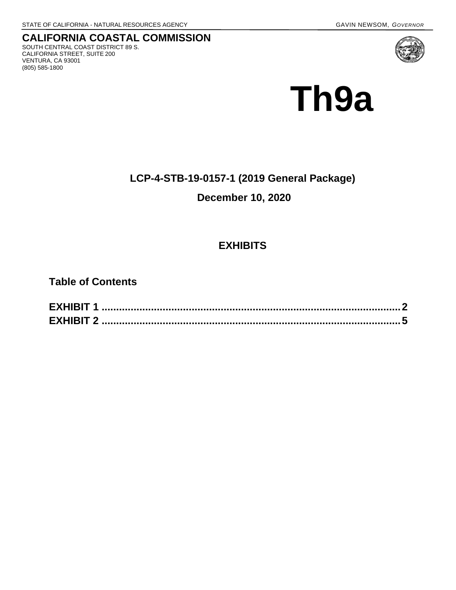**CALIFORNIA COASTAL COMMISSION** SOUTH CENTRAL COAST DISTRICT 89 S. CALIFORNIA STREET, SUITE 200 VENTURA, CA 93001 (805) 585-1800



**Th9a** 

# **LCP-4-STB-19-0157-1 (2019 General Package)**

# **December 10, 2020**

# **EXHIBITS**

**Table of Contents**

| <b>EXHIBIT 1</b> |  |
|------------------|--|
| <b>EXHIBIT 2</b> |  |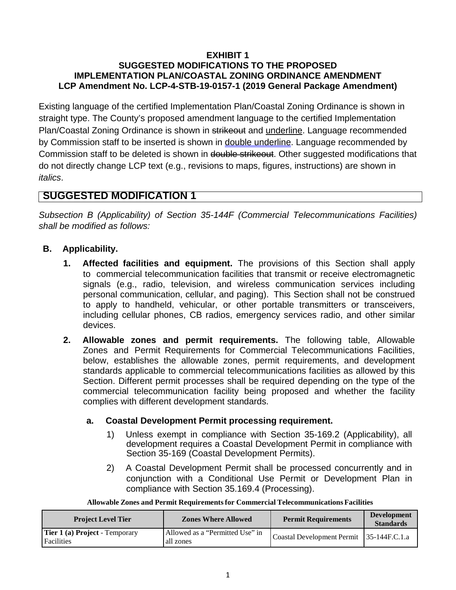## **EXHIBIT 1 SUGGESTED MODIFICATIONS TO THE PROPOSED IMPLEMENTATION PLAN/COASTAL ZONING ORDINANCE AMENDMENT LCP Amendment No. LCP-4-STB-19-0157-1 (2019 General Package Amendment)**

Existing language of the certified Implementation Plan/Coastal Zoning Ordinance is shown in straight type. The County's proposed amendment language to the certified Implementation Plan/Coastal Zoning Ordinance is shown in strikeout and underline. Language recommended by Commission staff to be inserted is shown in double underline. Language recommended by Commission staff to be deleted is shown in double strikeout. Other suggested modifications that do not directly change LCP text (e.g., revisions to maps, figures, instructions) are shown in *italics*.

# **SUGGESTED MODIFICATION 1**

*Subsection B (Applicability) of Section 35-144F (Commercial Telecommunications Facilities) shall be modified as follows:* 

## **B. Applicability.**

- **1. Affected facilities and equipment.** The provisions of this Section shall apply to commercial telecommunication facilities that transmit or receive electromagnetic signals (e.g., radio, television, and wireless communication services including personal communication, cellular, and paging). This Section shall not be construed to apply to handheld, vehicular, or other portable transmitters or transceivers, including cellular phones, CB radios, emergency services radio, and other similar devices.
- **2. Allowable zones and permit requirements.** The following table, Allowable Zones and Permit Requirements for Commercial Telecommunications Facilities, below, establishes the allowable zones, permit requirements, and development standards applicable to commercial telecommunications facilities as allowed by this Section. Different permit processes shall be required depending on the type of the commercial telecommunication facility being proposed and whether the facility complies with different development standards.

## **a. Coastal Development Permit processing requirement.**

- 1) Unless exempt in compliance with Section 35-169.2 (Applicability), all development requires a Coastal Development Permit in compliance with Section 35-169 (Coastal Development Permits).
- 2) A Coastal Development Permit shall be processed concurrently and in conjunction with a Conditional Use Permit or Development Plan in compliance with Section 35.169.4 (Processing).

| <b>Project Level Tier</b>                                  | <b>Zones Where Allowed</b>                   | <b>Permit Requirements</b>               | <b>Development</b><br><b>Standards</b> |
|------------------------------------------------------------|----------------------------------------------|------------------------------------------|----------------------------------------|
| <b>Tier 1 (a) Project - Temporary</b><br><b>Facilities</b> | Allowed as a "Permitted Use" in<br>all zones | Coastal Development Permit 35-144F.C.1.a |                                        |

**Allowable Zones and Permit Requirementsfor Commercial Telecommunications Facilities**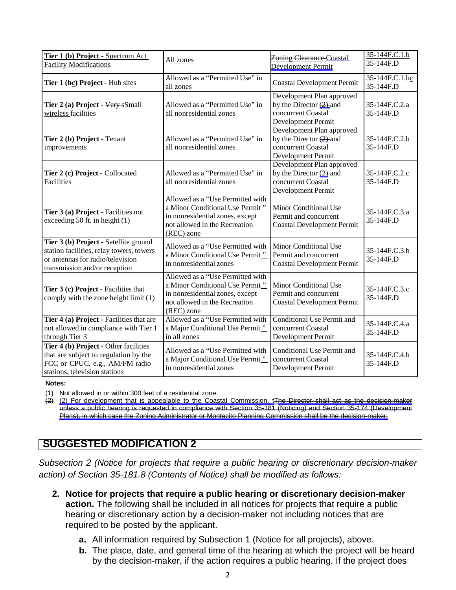| Tier 1 (b) Project - Spectrum Act<br><b>Facility Modifications</b>                                                                                     | All zones                                                                                                                                             | <b>Zoning Clearance Coastal</b>                                                                     | 35-144F.C.1.b<br>35-144F.D  |
|--------------------------------------------------------------------------------------------------------------------------------------------------------|-------------------------------------------------------------------------------------------------------------------------------------------------------|-----------------------------------------------------------------------------------------------------|-----------------------------|
|                                                                                                                                                        |                                                                                                                                                       | Development Permit                                                                                  |                             |
| Tier 1 (bc) Project - Hub sites                                                                                                                        | Allowed as a "Permitted Use" in<br>all zones                                                                                                          | <b>Coastal Development Permit</b>                                                                   | 35-144F.C.1.bc<br>35-144F.D |
| Tier 2 (a) Project - Very sSmall<br>wireless facilities                                                                                                | Allowed as a "Permitted Use" in<br>all <del>nonresidential</del> zones                                                                                | Development Plan approved<br>by the Director $(2)$ -and<br>concurrent Coastal<br>Development Permit | 35-144F.C.2.a<br>35-144F.D  |
| Tier 2 (b) Project - Tenant<br>improvements                                                                                                            | Allowed as a "Permitted Use" in<br>all nonresidential zones                                                                                           | Development Plan approved<br>by the Director $(2)$ and<br>concurrent Coastal<br>Development Permit  | 35-144F.C.2.b<br>35-144F.D  |
| Tier 2 (c) Project - Collocated<br>Facilities                                                                                                          | Allowed as a "Permitted Use" in<br>all nonresidential zones                                                                                           | Development Plan approved<br>by the Director $(2)$ -and<br>concurrent Coastal<br>Development Permit | 35-144F.C.2.c<br>35-144F.D  |
| Tier 3 (a) Project - Facilities not<br>exceeding 50 ft. in height (1)                                                                                  | Allowed as a "Use Permitted with<br>a Minor Conditional Use Permit"<br>in nonresidential zones, except<br>not allowed in the Recreation<br>(REC) zone | Minor Conditional Use<br>Permit and concurrent<br><b>Coastal Development Permit</b>                 | 35-144F.C.3.a<br>35-144F.D  |
| Tier 3 (b) Project - Satellite ground<br>station facilities, relay towers, towers<br>or antennas for radio/television<br>transmission and/or reception | Allowed as a "Use Permitted with<br>a Minor Conditional Use Permit"<br>in nonresidential zones                                                        | Minor Conditional Use<br>Permit and concurrent<br><b>Coastal Development Permit</b>                 | 35-144F.C.3.b<br>35-144F.D  |
| Tier 3 (c) Project - Facilities that<br>comply with the zone height limit (1)                                                                          | Allowed as a "Use Permitted with<br>a Minor Conditional Use Permit"<br>in nonresidential zones, except<br>not allowed in the Recreation<br>(REC) zone | Minor Conditional Use<br>Permit and concurrent<br><b>Coastal Development Permit</b>                 | 35-144F.C.3.c<br>35-144F.D  |
| Tier 4 (a) Project - Facilities that are<br>not allowed in compliance with Tier 1<br>through Tier 3                                                    | Allowed as a "Use Permitted with<br>a Major Conditional Use Permit"<br>in all zones                                                                   | <b>Conditional Use Permit and</b><br>concurrent Coastal<br>Development Permit                       | 35-144F.C.4.a<br>35-144F.D  |
| Tier 4 (b) Project - Other facilities<br>that are subject to regulation by the<br>FCC or CPUC, e.g., AM/FM radio<br>stations, television stations      | Allowed as a "Use Permitted with<br>a Major Conditional Use Permit"<br>in nonresidential zones                                                        | Conditional Use Permit and<br>concurrent Coastal<br>Development Permit                              | 35-144F.C.4.b<br>35-144F.D  |

**Notes:**

(1) Not allowed in or within 300 feet of a residential zone.

(2) (2) For development that is appealable to the Coastal Commission, tThe Director shall act as the decision-maker unless a public hearing is requested in compliance with [Section 35-181 \(](https://gbc-word-edit.officeapps.live.com/we/wordeditorframe.aspx?ui=en%2DUS&rs=en%2DUS&wopisrc=https%3A%2F%2Fcacoastalcomm-my.sharepoint.com%2Fpersonal%2Fjoy_lester_coastal_ca_gov%2F_vti_bin%2Fwopi.ashx%2Ffiles%2F51be9c2bb6b34ac0ada247a440341fd1&wdnewandopenct=1604514678690&wdprevioussession=302c4a85-cb95-4eb9-b9e1-54a794b7046e&wdorigin=OFFICECOM-WEB.START.UPLOAD&wdenableroaming=1&mscc=1&wdodb=1&hid=3F6B8A9F-7042-B000-8D8F-55DBE94EE09E&wdhostclicktime=1604514678690&jsapi=1&jsapiver=v1&newsession=1&corrid=62c08a38-5cb1-4d85-b0aa-b32b045ccadc&usid=62c08a38-5cb1-4d85-b0aa-b32b045ccadc&sftc=1&instantedit=1&wopicomplete=1&wdredirectionreason=Unified_SingleFlush&rct=Medium&ctp=LeastProtected#_bookmark288)Noticing) and [Section 35-174](https://gbc-word-edit.officeapps.live.com/we/wordeditorframe.aspx?ui=en%2DUS&rs=en%2DUS&wopisrc=https%3A%2F%2Fcacoastalcomm-my.sharepoint.com%2Fpersonal%2Fjoy_lester_coastal_ca_gov%2F_vti_bin%2Fwopi.ashx%2Ffiles%2F51be9c2bb6b34ac0ada247a440341fd1&wdnewandopenct=1604514678690&wdprevioussession=302c4a85-cb95-4eb9-b9e1-54a794b7046e&wdorigin=OFFICECOM-WEB.START.UPLOAD&wdenableroaming=1&mscc=1&wdodb=1&hid=3F6B8A9F-7042-B000-8D8F-55DBE94EE09E&wdhostclicktime=1604514678690&jsapi=1&jsapiver=v1&newsession=1&corrid=62c08a38-5cb1-4d85-b0aa-b32b045ccadc&usid=62c08a38-5cb1-4d85-b0aa-b32b045ccadc&sftc=1&instantedit=1&wopicomplete=1&wdredirectionreason=Unified_SingleFlush&rct=Medium&ctp=LeastProtected#_bookmark259) (Development Plans), in which case the Zoning Administrator or Montecito Planning Commission shall be the decision-maker.

# **SUGGESTED MODIFICATION 2**

*Subsection 2 (Notice for projects that require a public hearing or discretionary decision-maker action) of Section 35-181.8 (Contents of Notice) shall be modified as follows:*

- **2. Notice for projects that require a public hearing or discretionary decision-maker action.** The following shall be included in all notices for projects that require a public hearing or discretionary action by a decision-maker not including notices that are required to be posted by the applicant.
	- **a.** All information required by Subsection 1 (Notice for all projects), above.
	- **b.** The place, date, and general time of the hearing at which the project will be heard by the decision-maker, if the action requires a public hearing. If the project does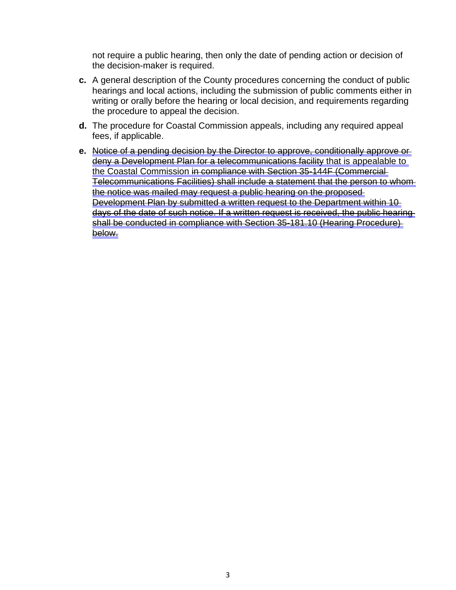not require a public hearing, then only the date of pending action or decision of the decision-maker is required.

- **c.** A general description of the County procedures concerning the conduct of public hearings and local actions, including the submission of public comments either in writing or orally before the hearing or local decision, and requirements regarding the procedure to appeal the decision.
- **d.** The procedure for Coastal Commission appeals, including any required appeal fees, if applicable.
- **e.** Notice of a pending decision by the Director to approve, conditionally approve or deny a Development Plan for a telecommunications facility that is appealable to the Coastal Commission in compliance with Section 35-144F (Commercial Telecommunications Facilities) shall include a statement that the person to whom the notice was mailed may request a public hearing on the proposed Development Plan by submitted a written request to the Department within 10 days of the date of such notice. If a written request is received, the public hearing shall be conducted in compliance with Section 35-181.10 (Hearing Procedure) below.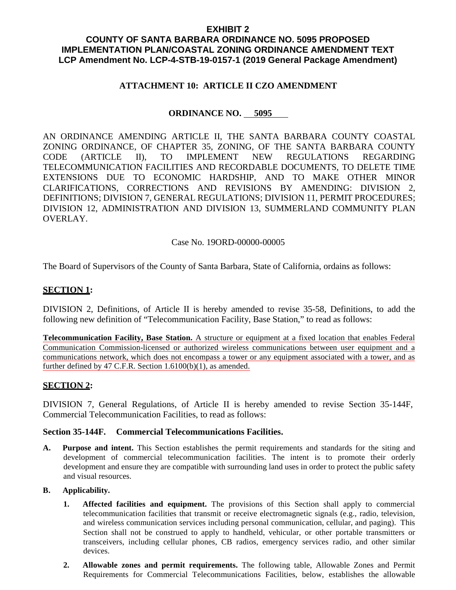## **EXHIBIT 2**

## **COUNTY OF SANTA BARBARA ORDINANCE NO. 5095 PROPOSED IMPLEMENTATION PLAN/COASTAL ZONING ORDINANCE AMENDMENT TEXT LCP Amendment No. LCP-4-STB-19-0157-1 (2019 General Package Amendment)**

## **ATTACHMENT 10: ARTICLE II CZO AMENDMENT**

## **ORDINANCE NO. 5095**

AN ORDINANCE AMENDING ARTICLE II, THE SANTA BARBARA COUNTY COASTAL ZONING ORDINANCE, OF CHAPTER 35, ZONING, OF THE SANTA BARBARA COUNTY CODE (ARTICLE II), TO IMPLEMENT NEW REGULATIONS REGARDING TELECOMMUNICATION FACILITIES AND RECORDABLE DOCUMENTS, TO DELETE TIME EXTENSIONS DUE TO ECONOMIC HARDSHIP, AND TO MAKE OTHER MINOR CLARIFICATIONS, CORRECTIONS AND REVISIONS BY AMENDING: DIVISION 2, DEFINITIONS; DIVISION 7, GENERAL REGULATIONS; DIVISION 11, PERMIT PROCEDURES; DIVISION 12, ADMINISTRATION AND DIVISION 13, SUMMERLAND COMMUNITY PLAN OVERLAY.

## Case No. 19ORD-00000-00005

The Board of Supervisors of the County of Santa Barbara, State of California, ordains as follows:

## **SECTION 1:**

DIVISION 2, Definitions, of Article II is hereby amended to revise 35-58, Definitions, to add the following new definition of "Telecommunication Facility, Base Station," to read as follows:

**Telecommunication Facility, Base Station.** A structure or equipment at a fixed location that enables Federal Communication Commission-licensed or authorized wireless communications between user equipment and a communications network, which does not encompass a tower or any equipment associated with a tower, and as further defined by 47 C.F.R. Section 1.6100(b)(1), as amended.

## **SECTION 2:**

DIVISION 7, General Regulations, of Article II is hereby amended to revise Section 35-144F, Commercial Telecommunication Facilities, to read as follows:

## **Section 35-144F. Commercial Telecommunications Facilities.**

**A. Purpose and intent.** This Section establishes the permit requirements and standards for the siting and development of commercial telecommunication facilities. The intent is to promote their orderly development and ensure they are compatible with surrounding land uses in order to protect the public safety and visual resources.

#### **B. Applicability.**

- **1. Affected facilities and equipment.** The provisions of this Section shall apply to commercial telecommunication facilities that transmit or receive electromagnetic signals (e.g., radio, television, and wireless communication services including personal communication, cellular, and paging). This Section shall not be construed to apply to handheld, vehicular, or other portable transmitters or transceivers, including cellular phones, CB radios, emergency services radio, and other similar devices.
- **2. Allowable zones and permit requirements.** The following table, Allowable Zones and Permit Requirements for Commercial Telecommunications Facilities, below, establishes the allowable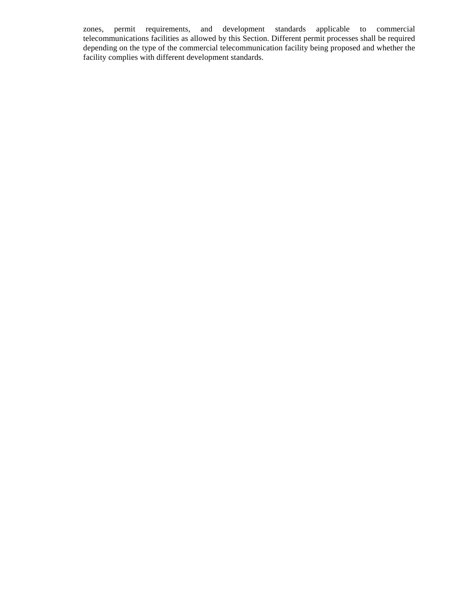zones, permit requirements, and development standards applicable to commercial telecommunications facilities as allowed by this Section. Different permit processes shall be required depending on the type of the commercial telecommunication facility being proposed and whether the facility complies with different development standards.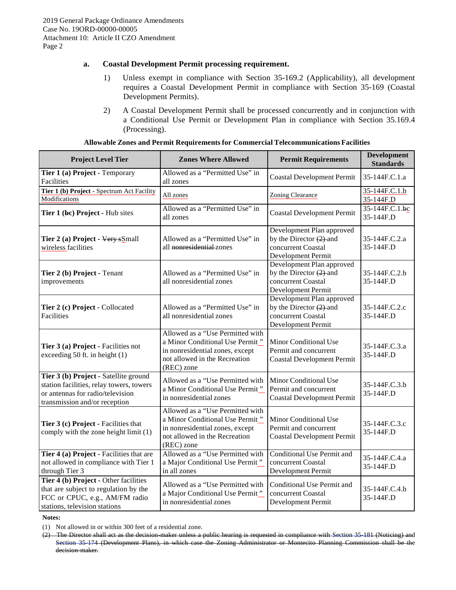#### **a. Coastal Development Permit processing requirement.**

- 1) Unless exempt in compliance with Section 35-169.2 (Applicability), all development requires a Coastal Development Permit in compliance with Section 35-169 (Coastal Development Permits).
- 2) A Coastal Development Permit shall be processed concurrently and in conjunction with a Conditional Use Permit or Development Plan in compliance with Section 35.169.4 (Processing).

| <b>Project Level Tier</b>                                                                                                                              | <b>Zones Where Allowed</b>                                                                                                                            | <b>Permit Requirements</b>                                                                          | <b>Development</b><br><b>Standards</b> |
|--------------------------------------------------------------------------------------------------------------------------------------------------------|-------------------------------------------------------------------------------------------------------------------------------------------------------|-----------------------------------------------------------------------------------------------------|----------------------------------------|
| Tier 1 (a) Project - Temporary<br>Facilities                                                                                                           | Allowed as a "Permitted Use" in<br>all zones                                                                                                          | <b>Coastal Development Permit</b>                                                                   | 35-144F.C.1.a                          |
| Tier 1 (b) Project - Spectrum Act Facility<br>Modifications                                                                                            | All zones                                                                                                                                             | <b>Zoning Clearance</b>                                                                             | 35-144F.C.1.b<br>35-144F.D             |
| Tier 1 (bc) Project - Hub sites                                                                                                                        | Allowed as a "Permitted Use" in<br>all zones                                                                                                          | <b>Coastal Development Permit</b>                                                                   | 35-144F.C.1.bc<br>35-144F.D            |
| Tier 2 (a) Project - Very sSmall<br>wireless facilities                                                                                                | Allowed as a "Permitted Use" in<br>all nonresidential zones                                                                                           | Development Plan approved<br>by the Director $(2)$ -and<br>concurrent Coastal<br>Development Permit | 35-144F.C.2.a<br>35-144F.D             |
| Tier 2 (b) Project - Tenant<br>improvements                                                                                                            | Allowed as a "Permitted Use" in<br>all nonresidential zones                                                                                           | Development Plan approved<br>by the Director $(2)$ -and<br>concurrent Coastal<br>Development Permit | 35-144F.C.2.b<br>35-144F.D             |
| Tier 2 (c) Project - Collocated<br><b>Facilities</b>                                                                                                   | Allowed as a "Permitted Use" in<br>all nonresidential zones                                                                                           | Development Plan approved<br>by the Director $(2)$ -and<br>concurrent Coastal<br>Development Permit | 35-144F.C.2.c<br>35-144F.D             |
| Tier 3 (a) Project - Facilities not<br>exceeding 50 ft. in height (1)                                                                                  | Allowed as a "Use Permitted with<br>a Minor Conditional Use Permit"<br>in nonresidential zones, except<br>not allowed in the Recreation<br>(REC) zone | Minor Conditional Use<br>Permit and concurrent<br><b>Coastal Development Permit</b>                 | 35-144F.C.3.a<br>35-144F.D             |
| Tier 3 (b) Project - Satellite ground<br>station facilities, relay towers, towers<br>or antennas for radio/television<br>transmission and/or reception | Allowed as a "Use Permitted with<br>a Minor Conditional Use Permit"<br>in nonresidential zones                                                        | Minor Conditional Use<br>Permit and concurrent<br><b>Coastal Development Permit</b>                 | 35-144F.C.3.b<br>35-144F.D             |
| Tier 3 (c) Project - Facilities that<br>comply with the zone height limit (1)                                                                          | Allowed as a "Use Permitted with<br>a Minor Conditional Use Permit"<br>in nonresidential zones, except<br>not allowed in the Recreation<br>(REC) zone | Minor Conditional Use<br>Permit and concurrent<br><b>Coastal Development Permit</b>                 | 35-144F.C.3.c<br>35-144F.D             |
| Tier 4 (a) Project - Facilities that are<br>not allowed in compliance with Tier 1<br>through Tier 3                                                    | Allowed as a "Use Permitted with<br>a Major Conditional Use Permit"<br>in all zones                                                                   | <b>Conditional Use Permit and</b><br>concurrent Coastal<br>Development Permit                       | 35-144F.C.4.a<br>35-144F.D             |
| Tier 4 (b) Project - Other facilities<br>that are subject to regulation by the<br>FCC or CPUC, e.g., AM/FM radio<br>stations, television stations      | Allowed as a "Use Permitted with<br>a Major Conditional Use Permit"<br>in nonresidential zones                                                        | Conditional Use Permit and<br>concurrent Coastal<br>Development Permit                              | 35-144F.C.4.b<br>35-144F.D             |

**Notes:**

<sup>(1)</sup> Not allowed in or within 300 feet of a residential zone.

<sup>(2)</sup> The Director shall act as the decision-maker unless a public hearing is requested in compliance with Section 35-181 (Noticing) and Section 35-174 (Development Plans), in which case the Zoning Administrator or Montecito Planning Commission shall be the decision-maker.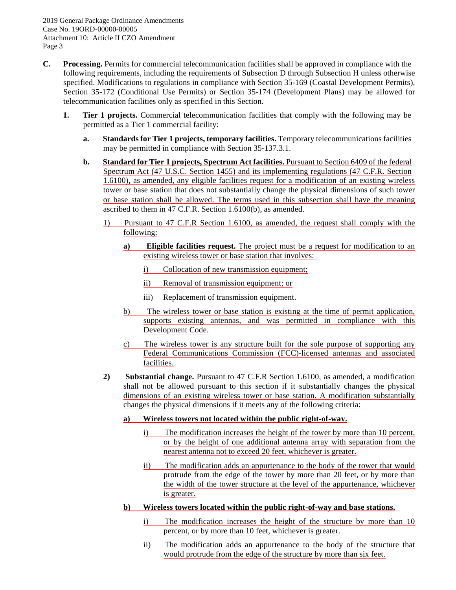- **C. Processing.** Permits for commercial telecommunication facilities shall be approved in compliance with the following requirements, including the requirements of Subsection D through Subsection H unless otherwise specified. Modifications to regulations in compliance with Section 35-169 (Coastal Development Permits), Section 35-172 (Conditional Use Permits) or Section 35-174 (Development Plans) may be allowed for telecommunication facilities only as specified in this Section.
	- **1. Tier 1 projects.** Commercial telecommunication facilities that comply with the following may be permitted as a Tier 1 commercial facility:
		- **a. Standards for Tier 1 projects, temporary facilities.** Temporary telecommunications facilities may be permitted in compliance with Section 35-137.3.1.
		- **b. Standard for Tier 1 projects, Spectrum Act facilities.** Pursuant to Section 6409 of the federal Spectrum Act (47 U.S.C. Section 1455) and its implementing regulations (47 C.F.R. Section 1.6100), as amended, any eligible facilities request for a modification of an existing wireless tower or base station that does not substantially change the physical dimensions of such tower or base station shall be allowed. The terms used in this subsection shall have the meaning ascribed to them in 47 C.F.R. Section 1.6100(b), as amended.
			- 1) Pursuant to 47 C.F.R Section 1.6100, as amended, the request shall comply with the following:
				- **a) Eligible facilities request.** The project must be a request for modification to an existing wireless tower or base station that involves:
					- i) Collocation of new transmission equipment;
					- ii) Removal of transmission equipment; or
					- iii) Replacement of transmission equipment.
				- b) The wireless tower or base station is existing at the time of permit application, supports existing antennas, and was permitted in compliance with this Development Code.
				- c) The wireless tower is any structure built for the sole purpose of supporting any Federal Communications Commission (FCC)-licensed antennas and associated facilities.
			- **2) Substantial change.** Pursuant to 47 C.F.R Section 1.6100, as amended, a modification shall not be allowed pursuant to this section if it substantially changes the physical dimensions of an existing wireless tower or base station. A modification substantially changes the physical dimensions if it meets any of the following criteria:
				- **a) Wireless towers not located within the public right-of-way.**
					- i) The modification increases the height of the tower by more than 10 percent, or by the height of one additional antenna array with separation from the nearest antenna not to exceed 20 feet, whichever is greater.
					- ii) The modification adds an appurtenance to the body of the tower that would protrude from the edge of the tower by more than 20 feet, or by more than the width of the tower structure at the level of the appurtenance, whichever is greater.
				- **b) Wireless towers located within the public right-of-way and base stations.**
					- i) The modification increases the height of the structure by more than 10 percent, or by more than 10 feet, whichever is greater.
					- ii) The modification adds an appurtenance to the body of the structure that would protrude from the edge of the structure by more than six feet.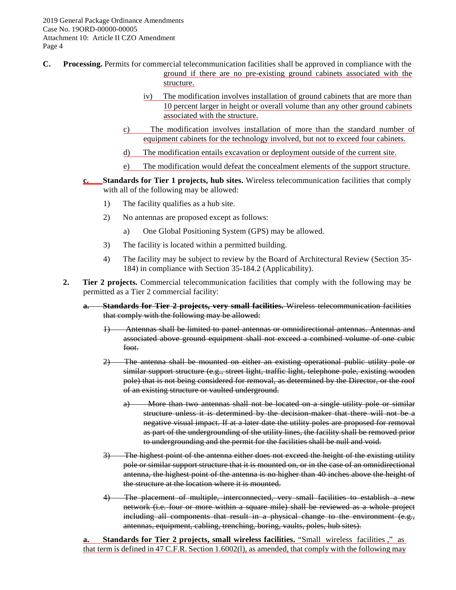- **C. Processing.** Permits for commercial telecommunication facilities shall be approved in compliance with the ground if there are no pre-existing ground cabinets associated with the structure.
	- iv) The modification involves installation of ground cabinets that are more than 10 percent larger in height or overall volume than any other ground cabinets associated with the structure.
	- c) The modification involves installation of more than the standard number of equipment cabinets for the technology involved, but not to exceed four cabinets.
	- d) The modification entails excavation or deployment outside of the current site.
	- e) The modification would defeat the concealment elements of the support structure.
	- **c. Standards for Tier 1 projects, hub sites.** Wireless telecommunication facilities that comply with all of the following may be allowed:
		- 1) The facility qualifies as a hub site.
		- 2) No antennas are proposed except as follows:
			- a) One Global Positioning System (GPS) may be allowed.
		- 3) The facility is located within a permitted building.
		- 4) The facility may be subject to review by the Board of Architectural Review (Section 35- 184) in compliance with Section 35-184.2 (Applicability).
	- **2. Tier 2 projects.** Commercial telecommunication facilities that comply with the following may be permitted as a Tier 2 commercial facility:
		- **a. Standards for Tier 2 projects, very small facilities.** Wireless telecommunication facilities that comply with the following may be allowed:
			- 1) Antennas shall be limited to panel antennas or omnidirectional antennas. Antennas and associated above ground equipment shall not exceed a combined volume of one cubic foot.
			- 2) The antenna shall be mounted on either an existing operational public utility pole or similar support structure (e.g., street light, traffic light, telephone pole, existing wooden pole) that is not being considered for removal, as determined by the Director, or the roof of an existing structure or vaulted underground.
				- a) More than two antennas shall not be located on a single utility pole or similar structure unless it is determined by the decision-maker that there will not be a negative visual impact. If at a later date the utility poles are proposed for removal as part of the undergrounding of the utility lines, the facility shall be removed prior to undergrounding and the permit for the facilities shall be null and void.
			- 3) The highest point of the antenna either does not exceed the height of the existing utility pole or similar support structure that it is mounted on, or in the case of an omnidirectional antenna, the highest point of the antenna is no higher than 40 inches above the height of the structure at the location where it is mounted.
			- 4) The placement of multiple, interconnected, very small facilities to establish a new network (i.e. four or more within a square mile) shall be reviewed as a whole project including all components that result in a physical change to the environment (e.g., antennas, equipment, cabling, trenching, boring, vaults, poles, hub sites).

**a. Standards for Tier 2 projects, small wireless facilities.** "Small wireless facilities ," as that term is defined in 47 C.F.R. Section 1.6002(l), as amended, that comply with the following may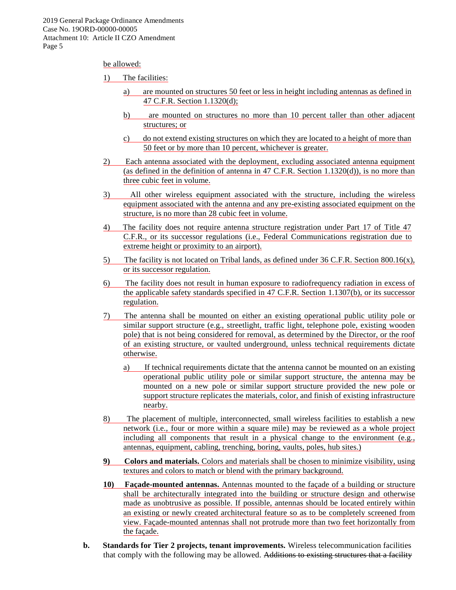#### be allowed:

#### 1) The facilities:

- a) are mounted on structures 50 feet or less in height including antennas as defined in 47 C.F.R. Section 1.1320(d);
- b) are mounted on structures no more than 10 percent taller than other adjacent structures; or
- c) do not extend existing structures on which they are located to a height of more than 50 feet or by more than 10 percent, whichever is greater.
- 2) Each antenna associated with the deployment, excluding associated antenna equipment (as defined in the definition of antenna in 47 C.F.R. Section 1.1320(d)), is no more than three cubic feet in volume.
- 3) All other wireless equipment associated with the structure, including the wireless equipment associated with the antenna and any pre-existing associated equipment on the structure, is no more than 28 cubic feet in volume.
- 4) The facility does not require antenna structure registration under Part 17 of Title 47 C.F.R., or its successor regulations (i.e., Federal Communications registration due to extreme height or proximity to an airport).
- 5) The facility is not located on Tribal lands, as defined under  $36$  C.F.R. Section  $800.16(x)$ , or its successor regulation.
- 6) The facility does not result in human exposure to radiofrequency radiation in excess of the applicable safety standards specified in 47 C.F.R. Section 1.1307(b), or its successor regulation.
- 7) The antenna shall be mounted on either an existing operational public utility pole or similar support structure (e.g., streetlight, traffic light, telephone pole, existing wooden pole) that is not being considered for removal, as determined by the Director, or the roof of an existing structure, or vaulted underground, unless technical requirements dictate otherwise.
	- a) If technical requirements dictate that the antenna cannot be mounted on an existing operational public utility pole or similar support structure, the antenna may be mounted on a new pole or similar support structure provided the new pole or support structure replicates the materials, color, and finish of existing infrastructure nearby.
- 8) The placement of multiple, interconnected, small wireless facilities to establish a new network (i.e., four or more within a square mile) may be reviewed as a whole project including all components that result in a physical change to the environment (e.g., antennas, equipment, cabling, trenching, boring, vaults, poles, hub sites.)
- **9) Colors and materials.** Colors and materials shall be chosen to minimize visibility, using textures and colors to match or blend with the primary background.
- **10) Façade-mounted antennas.** Antennas mounted to the façade of a building or structure shall be architecturally integrated into the building or structure design and otherwise made as unobtrusive as possible. If possible, antennas should be located entirely within an existing or newly created architectural feature so as to be completely screened from view. Façade-mounted antennas shall not protrude more than two feet horizontally from the façade.
- **b. Standards for Tier 2 projects, tenant improvements.** Wireless telecommunication facilities that comply with the following may be allowed. Additions to existing structures that a facility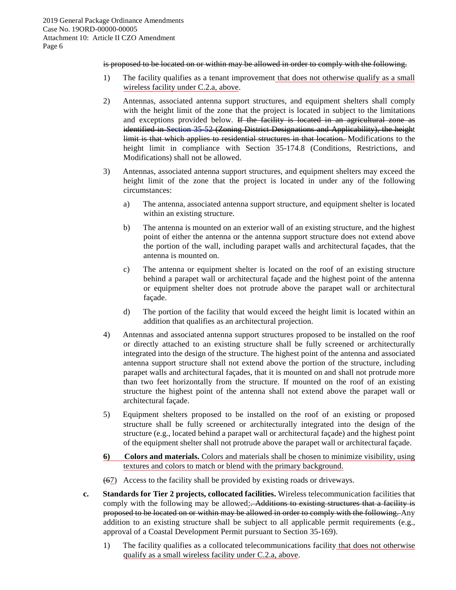#### is proposed to be located on or within may be allowed in order to comply with the following.

- 1) The facility qualifies as a tenant improvement that does not otherwise qualify as a small wireless facility under C.2.a, above.
- 2) Antennas, associated antenna support structures, and equipment shelters shall comply with the height limit of the zone that the project is located in subject to the limitations and exceptions provided below. If the facility is located in an agricultural zone as identified in Section 35-52 (Zoning District Designations and Applicability), the height limit is that which applies to residential structures in that location. Modifications to the height limit in compliance with Section 35-174.8 (Conditions, Restrictions, and Modifications) shall not be allowed.
- 3) Antennas, associated antenna support structures, and equipment shelters may exceed the height limit of the zone that the project is located in under any of the following circumstances:
	- a) The antenna, associated antenna support structure, and equipment shelter is located within an existing structure.
	- b) The antenna is mounted on an exterior wall of an existing structure, and the highest point of either the antenna or the antenna support structure does not extend above the portion of the wall, including parapet walls and architectural façades, that the antenna is mounted on.
	- c) The antenna or equipment shelter is located on the roof of an existing structure behind a parapet wall or architectural façade and the highest point of the antenna or equipment shelter does not protrude above the parapet wall or architectural façade.
	- d) The portion of the facility that would exceed the height limit is located within an addition that qualifies as an architectural projection.
- 4) Antennas and associated antenna support structures proposed to be installed on the roof or directly attached to an existing structure shall be fully screened or architecturally integrated into the design of the structure. The highest point of the antenna and associated antenna support structure shall not extend above the portion of the structure, including parapet walls and architectural façades, that it is mounted on and shall not protrude more than two feet horizontally from the structure. If mounted on the roof of an existing structure the highest point of the antenna shall not extend above the parapet wall or architectural façade.
- 5) Equipment shelters proposed to be installed on the roof of an existing or proposed structure shall be fully screened or architecturally integrated into the design of the structure (e.g., located behind a parapet wall or architectural façade) and the highest point of the equipment shelter shall not protrude above the parapet wall or architectural façade.
- **6) Colors and materials.** Colors and materials shall be chosen to minimize visibility, using textures and colors to match or blend with the primary background.
- (67) Access to the facility shall be provided by existing roads or driveways.
- **c. Standards for Tier 2 projects, collocated facilities.** Wireless telecommunication facilities that comply with the following may be allowed: Additions to existing structures that a facility is proposed to be located on or within may be allowed in order to comply with the following. Any addition to an existing structure shall be subject to all applicable permit requirements (e.g., approval of a Coastal Development Permit pursuant to Section 35-169).
	- 1) The facility qualifies as a collocated telecommunications facility that does not otherwise qualify as a small wireless facility under C.2.a, above.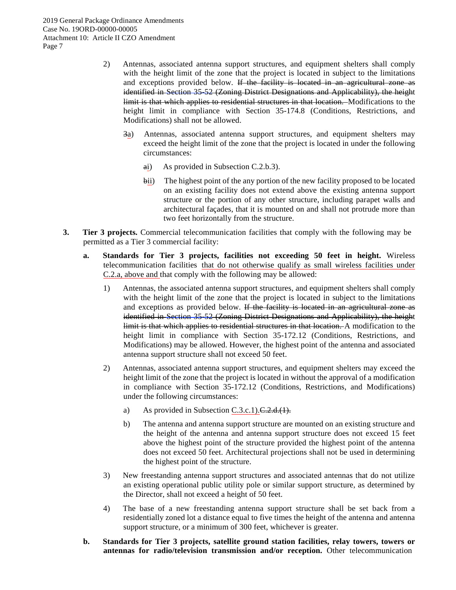- 2) Antennas, associated antenna support structures, and equipment shelters shall comply with the height limit of the zone that the project is located in subject to the limitations and exceptions provided below. If the facility is located in an agricultural zone as identified in Section 35-52 (Zoning District Designations and Applicability), the height limit is that which applies to residential structures in that location. Modifications to the height limit in compliance with Section 35-174.8 (Conditions, Restrictions, and Modifications) shall not be allowed.
	- 3a) Antennas, associated antenna support structures, and equipment shelters may exceed the height limit of the zone that the project is located in under the following circumstances:
		- ai) As provided in Subsection C.2.b.3).
		- bii) The highest point of the any portion of the new facility proposed to be located on an existing facility does not extend above the existing antenna support structure or the portion of any other structure, including parapet walls and architectural façades, that it is mounted on and shall not protrude more than two feet horizontally from the structure.
- **3. Tier 3 projects.** Commercial telecommunication facilities that comply with the following may be permitted as a Tier 3 commercial facility:
	- **a. Standards for Tier 3 projects, facilities not exceeding 50 feet in height.** Wireless telecommunication facilities that do not otherwise qualify as small wireless facilities under C.2.a, above and that comply with the following may be allowed:
		- 1) Antennas, the associated antenna support structures, and equipment shelters shall comply with the height limit of the zone that the project is located in subject to the limitations and exceptions as provided below. If the facility is located in an agricultural zone as identified in Section 35-52 (Zoning District Designations and Applicability), the height limit is that which applies to residential structures in that location. A modification to the height limit in compliance with Section 35-172.12 (Conditions, Restrictions, and Modifications) may be allowed. However, the highest point of the antenna and associated antenna support structure shall not exceed 50 feet.
		- 2) Antennas, associated antenna support structures, and equipment shelters may exceed the height limit of the zone that the project is located in without the approval of a modification in compliance with Section 35-172.12 (Conditions, Restrictions, and Modifications) under the following circumstances:
			- a) As provided in Subsection C.3.c.1). $C.2.d.(1)$ .
			- b) The antenna and antenna support structure are mounted on an existing structure and the height of the antenna and antenna support structure does not exceed 15 feet above the highest point of the structure provided the highest point of the antenna does not exceed 50 feet. Architectural projections shall not be used in determining the highest point of the structure.
		- 3) New freestanding antenna support structures and associated antennas that do not utilize an existing operational public utility pole or similar support structure, as determined by the Director, shall not exceed a height of 50 feet.
		- 4) The base of a new freestanding antenna support structure shall be set back from a residentially zoned lot a distance equal to five times the height of the antenna and antenna support structure, or a minimum of 300 feet, whichever is greater.
	- **b. Standards for Tier 3 projects, satellite ground station facilities, relay towers, towers or antennas for radio/television transmission and/or reception.** Other telecommunication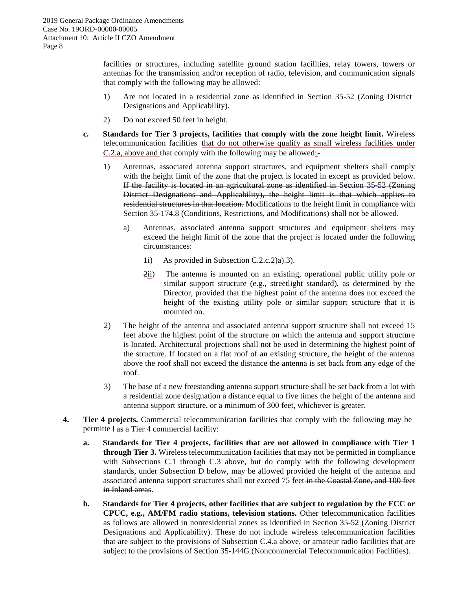facilities or structures, including satellite ground station facilities, relay towers, towers or antennas for the transmission and/or reception of radio, television, and communication signals that comply with the following may be allowed:

- 1) Are not located in a residential zone as identified in Section 35-52 (Zoning District Designations and Applicability).
- 2) Do not exceed 50 feet in height.
- **c. Standards for Tier 3 projects, facilities that comply with the zone height limit.** Wireless telecommunication facilities that do not otherwise qualify as small wireless facilities under C.2.a, above and that comply with the following may be allowed:.
	- 1) Antennas, associated antenna support structures, and equipment shelters shall comply with the height limit of the zone that the project is located in except as provided below. If the facility is located in an agricultural zone as identified in Section 35-52 (Zoning District Designations and Applicability), the height limit is that which applies to residential structures in that location. Modifications to the height limit in compliance with Section 35-174.8 (Conditions, Restrictions, and Modifications) shall not be allowed.
		- a) Antennas, associated antenna support structures and equipment shelters may exceed the height limit of the zone that the project is located under the following circumstances:
			- $1$ i) As provided in Subsection C.2.c.2)a). $\overline{3}$ .
			- 2ii) The antenna is mounted on an existing, operational public utility pole or similar support structure (e.g., streetlight standard), as determined by the Director, provided that the highest point of the antenna does not exceed the height of the existing utility pole or similar support structure that it is mounted on.
	- 2) The height of the antenna and associated antenna support structure shall not exceed 15 feet above the highest point of the structure on which the antenna and support structure is located. Architectural projections shall not be used in determining the highest point of the structure. If located on a flat roof of an existing structure, the height of the antenna above the roof shall not exceed the distance the antenna is set back from any edge of the roof.
	- 3) The base of a new freestanding antenna support structure shall be set back from a lot with a residential zone designation a distance equal to five times the height of the antenna and antenna support structure, or a minimum of 300 feet, whichever is greater.
- **4. Tier 4 p rojects.** Commercial telecommunication facilities that comply with the following may be permitte I as a Tier 4 commercial facility:
	- **a. Standards for Tier 4 projects, facilities that are not allowed in compliance with Tier 1 through Tier 3.** Wireless telecommunication facilities that may not be permitted in compliance with Subsections C.1 through C.3 above, but do comply with the following development standards, under Subsection D below, may be allowed provided the height of the antenna and associated antenna support structures shall not exceed 75 feet in the Coastal Zone, and 100 feet in Inland areas.
	- **b. Standards for Tier 4 projects, other facilities that are subject to regulation by the FCC or CPUC, e.g., AM/FM radio stations, television stations.** Other telecommunication facilities as follows are allowed in nonresidential zones as identified in Section 35-52 (Zoning District Designations and Applicability). These do not include wireless telecommunication facilities that are subject to the provisions of Subsection C.4.a above, or amateur radio facilities that are subject to the provisions of Section 35-144G (Noncommercial Telecommunication Facilities).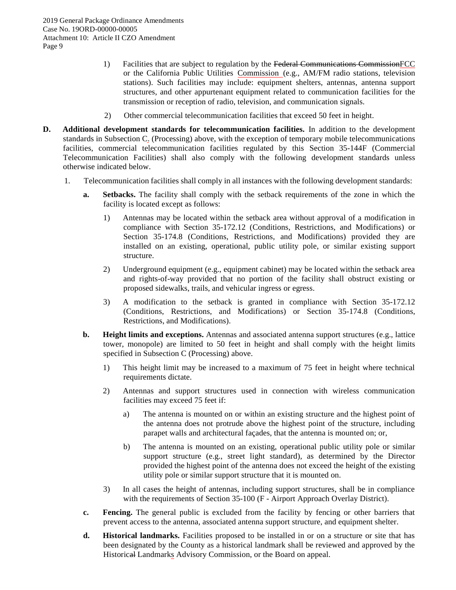- 1) Facilities that are subject to regulation by the Federal Communications CommissionFCC or the California Public Utilities Commission (e.g., AM/FM radio stations, television stations). Such facilities may include: equipment shelters, antennas, antenna support structures, and other appurtenant equipment related to communication facilities for the transmission or reception of radio, television, and communication signals.
- 2) Other commercial telecommunication facilities that exceed 50 feet in height.
- **D. Additional development standards for telecommunication facilities.** In addition to the development standards in Subsection C. (Processing) above, with the exception of temporary mobile telecommunications facilities, commercial telecommunication facilities regulated by this Section 35-144F (Commercial Telecommunication Facilities) shall also comply with the following development standards unless otherwise indicated below.
	- 1. Telecommunication facilities shall comply in all instances with the following development standards:
		- **a. Setbacks.** The facility shall comply with the setback requirements of the zone in which the facility is located except as follows:
			- 1) Antennas may be located within the setback area without approval of a modification in compliance with Section 35-172.12 (Conditions, Restrictions, and Modifications) or Section 35-174.8 (Conditions, Restrictions, and Modifications) provided they are installed on an existing, operational, public utility pole, or similar existing support structure.
			- 2) Underground equipment (e.g., equipment cabinet) may be located within the setback area and rights-of-way provided that no portion of the facility shall obstruct existing or proposed sidewalks, trails, and vehicular ingress or egress.
			- 3) A modification to the setback is granted in compliance with Section 35-172.12 (Conditions, Restrictions, and Modifications) or Section 35-174.8 (Conditions, Restrictions, and Modifications).
		- **b. Height limits and exceptions.** Antennas and associated antenna support structures (e.g., lattice tower, monopole) are limited to 50 feet in height and shall comply with the height limits specified in Subsection C (Processing) above.
			- 1) This height limit may be increased to a maximum of 75 feet in height where technical requirements dictate.
			- 2) Antennas and support structures used in connection with wireless communication facilities may exceed 75 feet if:
				- a) The antenna is mounted on or within an existing structure and the highest point of the antenna does not protrude above the highest point of the structure, including parapet walls and architectural façades, that the antenna is mounted on; or,
				- b) The antenna is mounted on an existing, operational public utility pole or similar support structure (e.g., street light standard), as determined by the Director provided the highest point of the antenna does not exceed the height of the existing utility pole or similar support structure that it is mounted on.
			- 3) In all cases the height of antennas, including support structures, shall be in compliance with the requirements of Section 35-100 (F - Airport Approach Overlay District).
		- **c. Fencing.** The general public is excluded from the facility by fencing or other barriers that prevent access to the antenna, associated antenna support structure, and equipment shelter.
		- **d. Historical landmarks.** Facilities proposed to be installed in or on a structure or site that has been designated by the County as a historical landmark shall be reviewed and approved by the Historical Landmarks Advisory Commission, or the Board on appeal.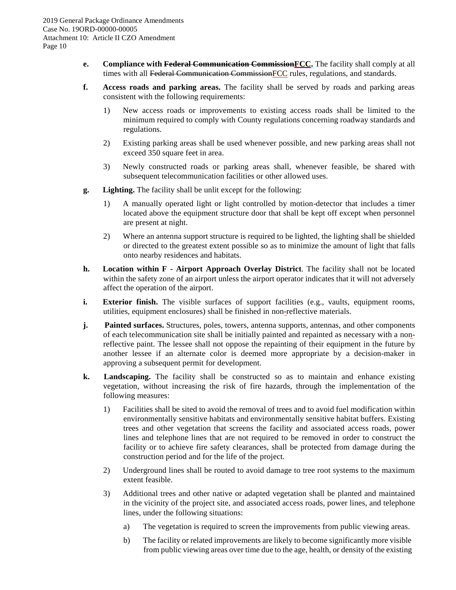- **e. Compliance with Federal Communication CommissionFCC.** The facility shall comply at all times with all Federal Communication CommissionFCC rules, regulations, and standards.
- **f. Access roads and parking areas.** The facility shall be served by roads and parking areas consistent with the following requirements:
	- 1) New access roads or improvements to existing access roads shall be limited to the minimum required to comply with County regulations concerning roadway standards and regulations.
	- 2) Existing parking areas shall be used whenever possible, and new parking areas shall not exceed 350 square feet in area.
	- 3) Newly constructed roads or parking areas shall, whenever feasible, be shared with subsequent telecommunication facilities or other allowed uses.
- **g. Lighting.** The facility shall be unlit except for the following:
	- 1) A manually operated light or light controlled by motion-detector that includes a timer located above the equipment structure door that shall be kept off except when personnel are present at night.
	- 2) Where an antenna support structure is required to be lighted, the lighting shall be shielded or directed to the greatest extent possible so as to minimize the amount of light that falls onto nearby residences and habitats.
- **h. Location within F - Airport Approach Overlay District**. The facility shall not be located within the safety zone of an airport unless the airport operator indicates that it will not adversely affect the operation of the airport.
- **i. Exterior finish.** The visible surfaces of support facilities (e.g., vaults, equipment rooms, utilities, equipment enclosures) shall be finished in non-reflective materials.
- **j. Painted surfaces.** Structures, poles, towers, antenna supports, antennas, and other components of each telecommunication site shall be initially painted and repainted as necessary with a nonreflective paint. The lessee shall not oppose the repainting of their equipment in the future by another lessee if an alternate color is deemed more appropriate by a decision-maker in approving a subsequent permit for development.
- **k. Landscaping.** The facility shall be constructed so as to maintain and enhance existing vegetation, without increasing the risk of fire hazards, through the implementation of the following measures:
	- 1) Facilities shall be sited to avoid the removal of trees and to avoid fuel modification within environmentally sensitive habitats and environmentally sensitive habitat buffers. Existing trees and other vegetation that screens the facility and associated access roads, power lines and telephone lines that are not required to be removed in order to construct the facility or to achieve fire safety clearances, shall be protected from damage during the construction period and for the life of the project.
	- 2) Underground lines shall be routed to avoid damage to tree root systems to the maximum extent feasible.
	- 3) Additional trees and other native or adapted vegetation shall be planted and maintained in the vicinity of the project site, and associated access roads, power lines, and telephone lines, under the following situations:
		- a) The vegetation is required to screen the improvements from public viewing areas.
		- b) The facility or related improvements are likely to become significantly more visible from public viewing areas over time due to the age, health, or density of the existing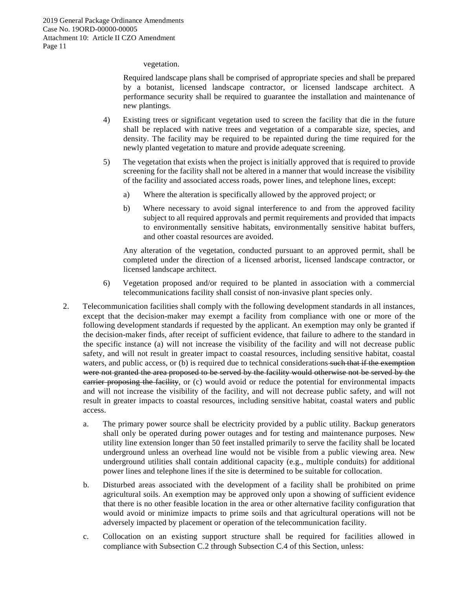vegetation.

Required landscape plans shall be comprised of appropriate species and shall be prepared by a botanist, licensed landscape contractor, or licensed landscape architect. A performance security shall be required to guarantee the installation and maintenance of new plantings.

- 4) Existing trees or significant vegetation used to screen the facility that die in the future shall be replaced with native trees and vegetation of a comparable size, species, and density. The facility may be required to be repainted during the time required for the newly planted vegetation to mature and provide adequate screening.
- 5) The vegetation that exists when the project is initially approved that is required to provide screening for the facility shall not be altered in a manner that would increase the visibility of the facility and associated access roads, power lines, and telephone lines, except:
	- a) Where the alteration is specifically allowed by the approved project; or
	- b) Where necessary to avoid signal interference to and from the approved facility subject to all required approvals and permit requirements and provided that impacts to environmentally sensitive habitats, environmentally sensitive habitat buffers, and other coastal resources are avoided.

Any alteration of the vegetation, conducted pursuant to an approved permit, shall be completed under the direction of a licensed arborist, licensed landscape contractor, or licensed landscape architect.

- 6) Vegetation proposed and/or required to be planted in association with a commercial telecommunications facility shall consist of non-invasive plant species only.
- 2. Telecommunication facilities shall comply with the following development standards in all instances, except that the decision-maker may exempt a facility from compliance with one or more of the following development standards if requested by the applicant. An exemption may only be granted if the decision-maker finds, after receipt of sufficient evidence, that failure to adhere to the standard in the specific instance (a) will not increase the visibility of the facility and will not decrease public safety, and will not result in greater impact to coastal resources, including sensitive habitat, coastal waters, and public access, or (b) is required due to technical considerations such that if the exemption were not granted the area proposed to be served by the facility would otherwise not be served by the carrier proposing the facility, or (c) would avoid or reduce the potential for environmental impacts and will not increase the visibility of the facility, and will not decrease public safety, and will not result in greater impacts to coastal resources, including sensitive habitat, coastal waters and public access.
	- a. The primary power source shall be electricity provided by a public utility. Backup generators shall only be operated during power outages and for testing and maintenance purposes. New utility line extension longer than 50 feet installed primarily to serve the facility shall be located underground unless an overhead line would not be visible from a public viewing area. New underground utilities shall contain additional capacity (e.g., multiple conduits) for additional power lines and telephone lines if the site is determined to be suitable for collocation.
	- b. Disturbed areas associated with the development of a facility shall be prohibited on prime agricultural soils. An exemption may be approved only upon a showing of sufficient evidence that there is no other feasible location in the area or other alternative facility configuration that would avoid or minimize impacts to prime soils and that agricultural operations will not be adversely impacted by placement or operation of the telecommunication facility.
	- c. Collocation on an existing support structure shall be required for facilities allowed in compliance with Subsection C.2 through Subsection C.4 of this Section, unless: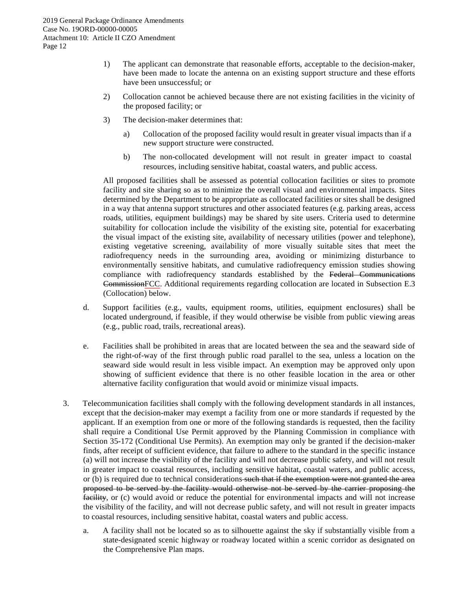- 1) The applicant can demonstrate that reasonable efforts, acceptable to the decision-maker, have been made to locate the antenna on an existing support structure and these efforts have been unsuccessful; or
- 2) Collocation cannot be achieved because there are not existing facilities in the vicinity of the proposed facility; or
- 3) The decision-maker determines that:
	- a) Collocation of the proposed facility would result in greater visual impacts than if a new support structure were constructed.
	- b) The non-collocated development will not result in greater impact to coastal resources, including sensitive habitat, coastal waters, and public access.

All proposed facilities shall be assessed as potential collocation facilities or sites to promote facility and site sharing so as to minimize the overall visual and environmental impacts. Sites determined by the Department to be appropriate as collocated facilities or sites shall be designed in a way that antenna support structures and other associated features (e.g. parking areas, access roads, utilities, equipment buildings) may be shared by site users. Criteria used to determine suitability for collocation include the visibility of the existing site, potential for exacerbating the visual impact of the existing site, availability of necessary utilities (power and telephone), existing vegetative screening, availability of more visually suitable sites that meet the radiofrequency needs in the surrounding area, avoiding or minimizing disturbance to environmentally sensitive habitats, and cumulative radiofrequency emission studies showing compliance with radiofrequency standards established by the Federal Communications CommissionFCC. Additional requirements regarding collocation are located in Subsection E.3 (Collocation) below.

- d. Support facilities (e.g., vaults, equipment rooms, utilities, equipment enclosures) shall be located underground, if feasible, if they would otherwise be visible from public viewing areas (e.g., public road, trails, recreational areas).
- e. Facilities shall be prohibited in areas that are located between the sea and the seaward side of the right-of-way of the first through public road parallel to the sea, unless a location on the seaward side would result in less visible impact. An exemption may be approved only upon showing of sufficient evidence that there is no other feasible location in the area or other alternative facility configuration that would avoid or minimize visual impacts.
- 3. Telecommunication facilities shall comply with the following development standards in all instances, except that the decision-maker may exempt a facility from one or more standards if requested by the applicant. If an exemption from one or more of the following standards is requested, then the facility shall require a Conditional Use Permit approved by the Planning Commission in compliance with Section 35-172 (Conditional Use Permits). An exemption may only be granted if the decision-maker finds, after receipt of sufficient evidence, that failure to adhere to the standard in the specific instance (a) will not increase the visibility of the facility and will not decrease public safety, and will not result in greater impact to coastal resources, including sensitive habitat, coastal waters, and public access, or (b) is required due to technical considerations such that if the exemption were not granted the area proposed to be served by the facility would otherwise not be served by the carrier proposing the facility, or (c) would avoid or reduce the potential for environmental impacts and will not increase the visibility of the facility, and will not decrease public safety, and will not result in greater impacts to coastal resources, including sensitive habitat, coastal waters and public access.
	- a. A facility shall not be located so as to silhouette against the sky if substantially visible from a state-designated scenic highway or roadway located within a scenic corridor as designated on the Comprehensive Plan maps.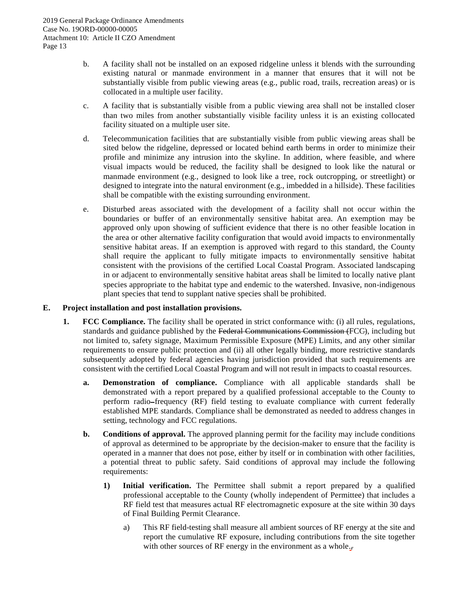- b. A facility shall not be installed on an exposed ridgeline unless it blends with the surrounding existing natural or manmade environment in a manner that ensures that it will not be substantially visible from public viewing areas (e.g., public road, trails, recreation areas) or is collocated in a multiple user facility.
- c. A facility that is substantially visible from a public viewing area shall not be installed closer than two miles from another substantially visible facility unless it is an existing collocated facility situated on a multiple user site.
- d. Telecommunication facilities that are substantially visible from public viewing areas shall be sited below the ridgeline, depressed or located behind earth berms in order to minimize their profile and minimize any intrusion into the skyline. In addition, where feasible, and where visual impacts would be reduced, the facility shall be designed to look like the natural or manmade environment (e.g., designed to look like a tree, rock outcropping, or streetlight) or designed to integrate into the natural environment (e.g., imbedded in a hillside). These facilities shall be compatible with the existing surrounding environment.
- e. Disturbed areas associated with the development of a facility shall not occur within the boundaries or buffer of an environmentally sensitive habitat area. An exemption may be approved only upon showing of sufficient evidence that there is no other feasible location in the area or other alternative facility configuration that would avoid impacts to environmentally sensitive habitat areas. If an exemption is approved with regard to this standard, the County shall require the applicant to fully mitigate impacts to environmentally sensitive habitat consistent with the provisions of the certified Local Coastal Program. Associated landscaping in or adjacent to environmentally sensitive habitat areas shall be limited to locally native plant species appropriate to the habitat type and endemic to the watershed. Invasive, non-indigenous plant species that tend to supplant native species shall be prohibited.

#### **E. Project installation and post installation provisions.**

- **1. FCC Compliance.** The facility shall be operated in strict conformance with: (i) all rules, regulations, standards and guidance published by the Federal Communications Commission (FCC), including but not limited to, safety signage, Maximum Permissible Exposure (MPE) Limits, and any other similar requirements to ensure public protection and (ii) all other legally binding, more restrictive standards subsequently adopted by federal agencies having jurisdiction provided that such requirements are consistent with the certified Local Coastal Program and will not result in impacts to coastal resources.
	- **a. Demonstration of compliance.** Compliance with all applicable standards shall be demonstrated with a report prepared by a qualified professional acceptable to the County to perform radio-frequency (RF) field testing to evaluate compliance with current federally established MPE standards. Compliance shall be demonstrated as needed to address changes in setting, technology and FCC regulations.
	- **b. Conditions of approval.** The approved planning permit for the facility may include conditions of approval as determined to be appropriate by the decision-maker to ensure that the facility is operated in a manner that does not pose, either by itself or in combination with other facilities, a potential threat to public safety. Said conditions of approval may include the following requirements:
		- **1) Initial verification.** The Permittee shall submit a report prepared by a qualified professional acceptable to the County (wholly independent of Permittee) that includes a RF field test that measures actual RF electromagnetic exposure at the site within 30 days of Final Building Permit Clearance.
			- a) This RF field-testing shall measure all ambient sources of RF energy at the site and report the cumulative RF exposure, including contributions from the site together with other sources of RF energy in the environment as a whole.,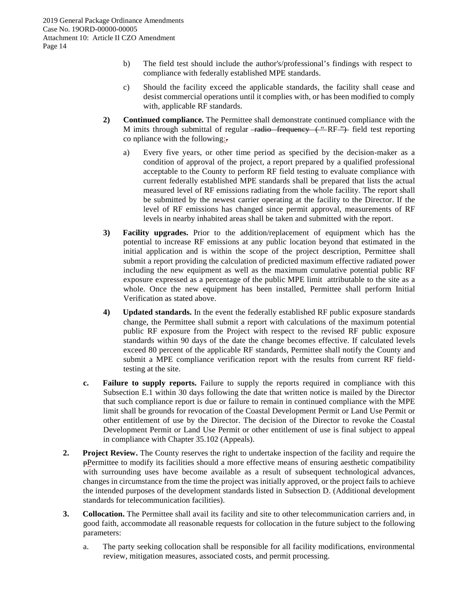- b) The field test should include the author's/professional's findings with respect to compliance with federally established MPE standards.
- c) Should the facility exceed the applicable standards, the facility shall cease and desist commercial operations until it complies with, or has been modified to comply with, applicable RF standards.
- **2) Continued compliance.** The Permittee shall demonstrate continued compliance with the M imits through submittal of regular -radio frequency ("RF") field test reporting co npliance with the following:
	- a) Every five years, or other time period as specified by the decision-maker as a condition of approval of the project, a report prepared by a qualified professional acceptable to the County to perform RF field testing to evaluate compliance with current federally established MPE standards shall be prepared that lists the actual measured level of RF emissions radiating from the whole facility. The report shall be submitted by the newest carrier operating at the facility to the Director. If the level of RF emissions has changed since permit approval, measurements of RF levels in nearby inhabited areas shall be taken and submitted with the report.
- **3) Facility upgrades.** Prior to the addition/replacement of equipment which has the potential to increase RF emissions at any public location beyond that estimated in the initial application and is within the scope of the project description, Permittee shall submit a report providing the calculation of predicted maximum effective radiated power including the new equipment as well as the maximum cumulative potential public RF exposure expressed as a percentage of the public MPE limit attributable to the site as a whole. Once the new equipment has been installed, Permittee shall perform Initial Verification as stated above.
- **4) Updated standards.** In the event the federally established RF public exposure standards change, the Permittee shall submit a report with calculations of the maximum potential public RF exposure from the Project with respect to the revised RF public exposure standards within 90 days of the date the change becomes effective. If calculated levels exceed 80 percent of the applicable RF standards, Permittee shall notify the County and submit a MPE compliance verification report with the results from current RF fieldtesting at the site.
- **c. Failure to supply reports.** Failure to supply the reports required in compliance with this Subsection E.1 within 30 days following the date that written notice is mailed by the Director that such compliance report is due or failure to remain in continued compliance with the MPE limit shall be grounds for revocation of the Coastal Development Permit or Land Use Permit or other entitlement of use by the Director. The decision of the Director to revoke the Coastal Development Permit or Land Use Permit or other entitlement of use is final subject to appeal in compliance with Chapter 35.102 (Appeals).
- **2. Project Review.** The County reserves the right to undertake inspection of the facility and require the pPermittee to modify its facilities should a more effective means of ensuring aesthetic compatibility with surrounding uses have become available as a result of subsequent technological advances, changes in circumstance from the time the project was initially approved, or the project fails to achieve the intended purposes of the development standards listed in Subsection D. (Additional development standards for telecommunication facilities).
- **3. Collocation.** The Permittee shall avail its facility and site to other telecommunication carriers and, in good faith, accommodate all reasonable requests for collocation in the future subject to the following parameters:
	- a. The party seeking collocation shall be responsible for all facility modifications, environmental review, mitigation measures, associated costs, and permit processing.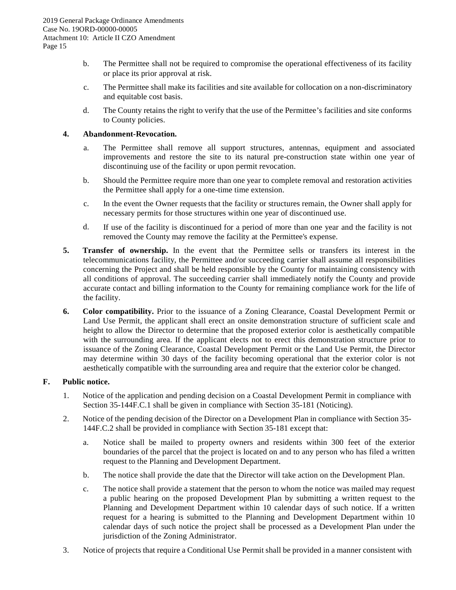- b. The Permittee shall not be required to compromise the operational effectiveness of its facility or place its prior approval at risk.
- c. The Permittee shall make its facilities and site available for collocation on a non-discriminatory and equitable cost basis.
- d. The County retains the right to verify that the use of the Permittee's facilities and site conforms to County policies.

#### **4. Ab ndonment-Revocation. a**

- a. The Permittee shall remove all support structures, antennas, equipment and associated improvements and restore the site to its natural pre-construction state within one year of discontinuing use of the facility or upon permit revocation.
- b. Should the Permittee require more than one year to complete removal and restoration activities the Permittee shall apply for a one-time time extension.
- c. In the event the Owner requests that the facility or structures remain, the Owner shall apply for necessary permits for those structures within one year of discontinued use.
- d. If use of the facility is discontinued for a period of more than one year and the facility is not removed the County may remove the facility at the Permittee's expense.
- **5. Transfer of ownership.** In the event that the Permittee sells or transfers its interest in the telecommunications facility, the Permittee and/or succeeding carrier shall assume all responsibilities concerning the Project and shall be held responsible by the County for maintaining consistency with all conditions of approval. The succeeding carrier shall immediately notify the County and provide accurate contact and billing information to the County for remaining compliance work for the life of the facility.
- **6. Color compatibility.** Prior to the issuance of a Zoning Clearance, Coastal Development Permit or Land Use Permit, the applicant shall erect an onsite demonstration structure of sufficient scale and height to allow the Director to determine that the proposed exterior color is aesthetically compatible with the surrounding area. If the applicant elects not to erect this demonstration structure prior to issuance of the Zoning Clearance, Coastal Development Permit or the Land Use Permit, the Director may determine within 30 days of the facility becoming operational that the exterior color is not aesthetically compatible with the surrounding area and require that the exterior color be changed.

#### **F. Public notice.**

- 1. Notice of the application and pending decision on a Coastal Development Permit in compliance with Section 35-144F.C.1 shall be given in compliance with Section 35-181 (Noticing).
- 2. Notice of the pending decision of the Director on a Development Plan in compliance with Section 35- 144F.C.2 shall be provided in compliance with Section 35-181 except that:
	- a. Notice shall be mailed to property owners and residents within 300 feet of the exterior boundaries of the parcel that the project is located on and to any person who has filed a written request to the Planning and Development Department.
	- b. The notice shall provide the date that the Director will take action on the Development Plan.
	- c. The notice shall provide a statement that the person to whom the notice was mailed may request a public hearing on the proposed Development Plan by submitting a written request to the Planning and Development Department within 10 calendar days of such notice. If a written request for a hearing is submitted to the Planning and Development Department within 10 calendar days of such notice the project shall be processed as a Development Plan under the jurisdiction of the Zoning Administrator.
- 3. Notice of projects that require a Conditional Use Permit shall be provided in a manner consistent with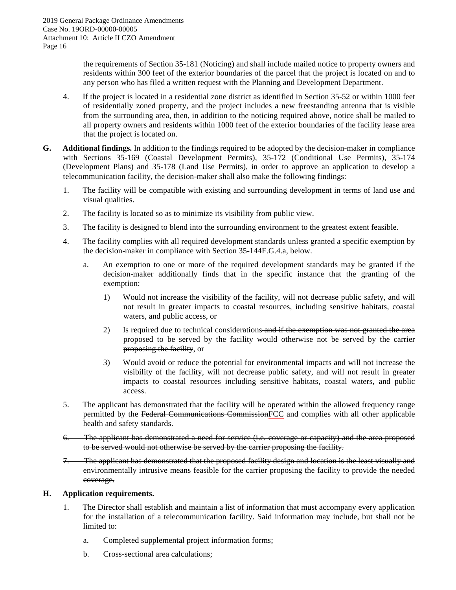the requirements of Section 35-181 (Noticing) and shall include mailed notice to property owners and residents within 300 feet of the exterior boundaries of the parcel that the project is located on and to any person who has filed a written request with the Planning and Development Department.

- 4. If the project is located in a residential zone district as identified in Section 35-52 or within 1000 feet of residentially zoned property, and the project includes a new freestanding antenna that is visible from the surrounding area, then, in addition to the noticing required above, notice shall be mailed to all property owners and residents within 1000 feet of the exterior boundaries of the facility lease area that the project is located on.
- **G. Additional findings.** In addition to the findings required to be adopted by the decision-maker in compliance with Sections 35-169 (Coastal Development Permits), 35-172 (Conditional Use Permits), 35-174 (Development Plans) and 35-178 (Land Use Permits), in order to approve an application to develop a telecommunication facility, the decision-maker shall also make the following findings:
	- 1. The facility will be compatible with existing and surrounding development in terms of land use and visual qualities.
	- 2. The facility is located so as to minimize its visibility from public view.
	- 3. The facility is designed to blend into the surrounding environment to the greatest extent feasible.
	- 4. The facility complies with all required development standards unless granted a specific exemption by the decision-maker in compliance with Section 35-144F.G.4.a, below.
		- a. An exemption to one or more of the required development standards may be granted if the decision-maker additionally finds that in the specific instance that the granting of the exemption:
			- 1) Would not increase the visibility of the facility, will not decrease public safety, and will not result in greater impacts to coastal resources, including sensitive habitats, coastal waters, and public access, or
			- 2) Is required due to technical considerations and if the exemption was not granted the area proposed to be served by the facility would otherwise not be served by the carrier proposing the facility, or
			- 3) Would avoid or reduce the potential for environmental impacts and will not increase the visibility of the facility, will not decrease public safety, and will not result in greater impacts to coastal resources including sensitive habitats, coastal waters, and public access.
	- 5. The applicant has demonstrated that the facility will be operated within the allowed frequency range permitted by the Federal Communications CommissionFCC and complies with all other applicable health and safety standards.
	- 6. The applicant has demonstrated a need for service (i.e. coverage or capacity) and the area proposed to be served would not otherwise be served by the carrier proposing the facility.
	- 7. The applicant has demonstrated that the proposed facility design and location is the least visually and environmentally intrusive means feasible for the carrier proposing the facility to provide the needed coverage.

#### **H. Application requirements.**

- 1. The Director shall establish and maintain a list of information that must accompany every application for the installation of a telecommunication facility. Said information may include, but shall not be limited to:
	- a. Completed supplemental project information forms;
	- b. Cross-sectional area calculations;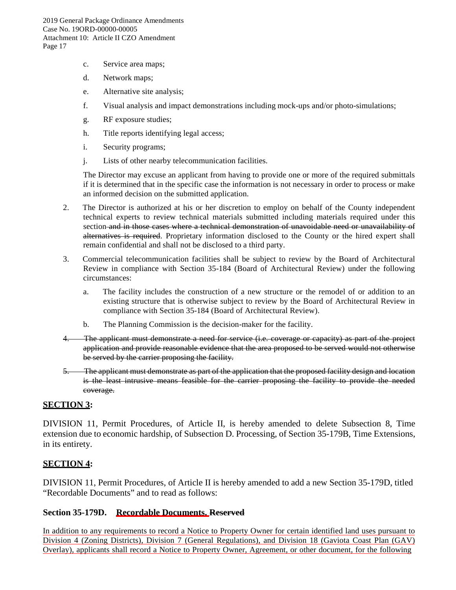- c. Service area maps;
- d. Network maps;
- e. Alternative site analysis;
- f. Visual analysis and impact demonstrations including mock-ups and/or photo-simulations;
- g. RF exposure studies;
- h. Title reports identifying legal access;
- i. Security programs;
- j. Lists of other nearby telecommunication facilities.

The Director may excuse an applicant from having to provide one or more of the required submittals if it is determined that in the specific case the information is not necessary in order to process or make an informed decision on the submitted application.

- 2. The Director is authorized at his or her discretion to employ on behalf of the County independent technical experts to review technical materials submitted including materials required under this section and in those cases where a technical demonstration of unavoidable need or unavailability of alternatives is required. Proprietary information disclosed to the County or the hired expert shall remain confidential and shall not be disclosed to a third party.
- 3. Commercial telecommunication facilities shall be subject to review by the Board of Architectural Review in compliance with Section 35-184 (Board of Architectural Review) under the following circumstances:
	- a. The facility includes the construction of a new structure or the remodel of or addition to an existing structure that is otherwise subject to review by the Board of Architectural Review in compliance with Section 35-184 (Board of Architectural Review).
	- b. The Planning Commission is the decision-maker for the facility.
- 4. The applicant must demonstrate a need for service (i.e. coverage or capacity) as part of the project application and provide reasonable evidence that the area proposed to be served would not otherwise be served by the carrier proposing the facility.
- 5. The applicant must demonstrate as part of the application that the proposed facility design and location is the least intrusive means feasible for the carrier proposing the facility to provide the needed coverage.

## **SECTION 3:**

DIVISION 11, Permit Procedures, of Article II, is hereby amended to delete Subsection 8, Time extension due to economic hardship, of Subsection D. Processing, of Section 35-179B, Time Extensions, in its entirety.

## **SECTION 4:**

DIVISION 11, Permit Procedures, of Article II is hereby amended to add a new Section 35-179D, titled "Recordable Documents" and to read as follows:

## **Section 35-179D. Recordable Documents. Reserved**

In addition to any requirements to record a Notice to Property Owner for certain identified land uses pursuant to Division 4 (Zoning Districts), Division 7 (General Regulations), and Division 18 (Gaviota Coast Plan (GAV) Overlay), applicants shall record a Notice to Property Owner, Agreement, or other document, for the following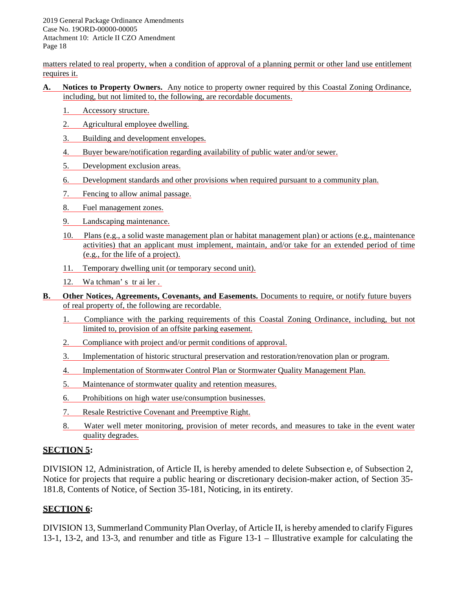matters related to real property, when a condition of approval of a planning permit or other land use entitlement requires it.

- **A. Notices to Property Owners.** Any notice to property owner required by this Coastal Zoning Ordinance, including, but not limited to, the following, are recordable documents.
	- 1. Accessory structure.
	- 2. Agricultural employee dwelling.
	- 3. Building and development envelopes.
	- 4. Buyer beware/notification regarding availability of public water and/or sewer.
	- 5. Development exclusion areas.
	- 6. Development standards and other provisions when required pursuant to a community plan.
	- 7. Fencing to allow animal passage.
	- 8. Fuel management zones.
	- 9. Landscaping maintenance.
	- 10. Plans (e.g., a solid waste management plan or habitat management plan) or actions (e.g., maintenance activities) that an applicant must implement, maintain, and/or take for an extended period of time (e.g., for the life of a project).
	- 11. Temporary dwelling unit (or temporary second unit).
	- 12. Wa tchman' s tr ai ler .
- **B. Other Notices, Agreements, Covenants, and Easements.** Documents to require, or notify future buyers of real property of, the following are recordable.
	- 1. Compliance with the parking requirements of this Coastal Zoning Ordinance, including, but not limited to, provision of an offsite parking easement.
	- 2. Compliance with project and/or permit conditions of approval.
	- 3. Implementation of historic structural preservation and restoration/renovation plan or program.
	- 4. Implementation of Stormwater Control Plan or Stormwater Quality Management Plan.
	- 5. Maintenance of stormwater quality and retention measures.
	- 6. Prohibitions on high water use/consumption businesses.
	- 7. Resale Restrictive Covenant and Preemptive Right.
	- 8. Water well meter monitoring, provision of meter records, and measures to take in the event water quality degrades.

## **SECTION 5:**

DIVISION 12, Administration, of Article II, is hereby amended to delete Subsection e, of Subsection 2, Notice for projects that require a public hearing or discretionary decision-maker action, of Section 35- 181.8, Contents of Notice, of Section 35-181, Noticing, in its entirety.

## **SECTION 6:**

DIVISION 13, Summerland Community Plan Overlay, of Article II, is hereby amended to clarify Figures 13-1, 13-2, and 13-3, and renumber and title as Figure 13-1 – Illustrative example for calculating the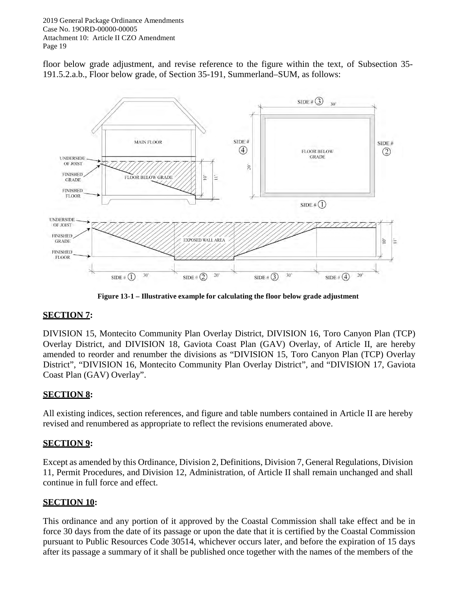floor below grade adjustment, and revise reference to the figure within the text, of Subsection 35- 191.5.2.a.b., Floor below grade, of Section 35-191, Summerland–SUM, as follows:



**Figure 13-1 – Illustrative example for calculating the floor below grade adjustment**

## **SECTION 7:**

DIVISION 15, Montecito Community Plan Overlay District, DIVISION 16, Toro Canyon Plan (TCP) Overlay District, and DIVISION 18, Gaviota Coast Plan (GAV) Overlay, of Article II, are hereby amended to reorder and renumber the divisions as "DIVISION 15, Toro Canyon Plan (TCP) Overlay District", "DIVISION 16, Montecito Community Plan Overlay District", and "DIVISION 17, Gaviota Coast Plan (GAV) Overlay".

## **SECTION 8:**

All existing indices, section references, and figure and table numbers contained in Article II are hereby revised and renumbered as appropriate to reflect the revisions enumerated above.

## **SECTION 9:**

Except as amended by this Ordinance, Division 2, Definitions, Division 7, General Regulations, Division 11, Permit Procedures, and Division 12, Administration, of Article II shall remain unchanged and shall continue in full force and effect.

## **SECTION 10:**

This ordinance and any portion of it approved by the Coastal Commission shall take effect and be in force 30 days from the date of its passage or upon the date that it is certified by the Coastal Commission pursuant to Public Resources Code 30514, whichever occurs later, and before the expiration of 15 days after its passage a summary of it shall be published once together with the names of the members of the